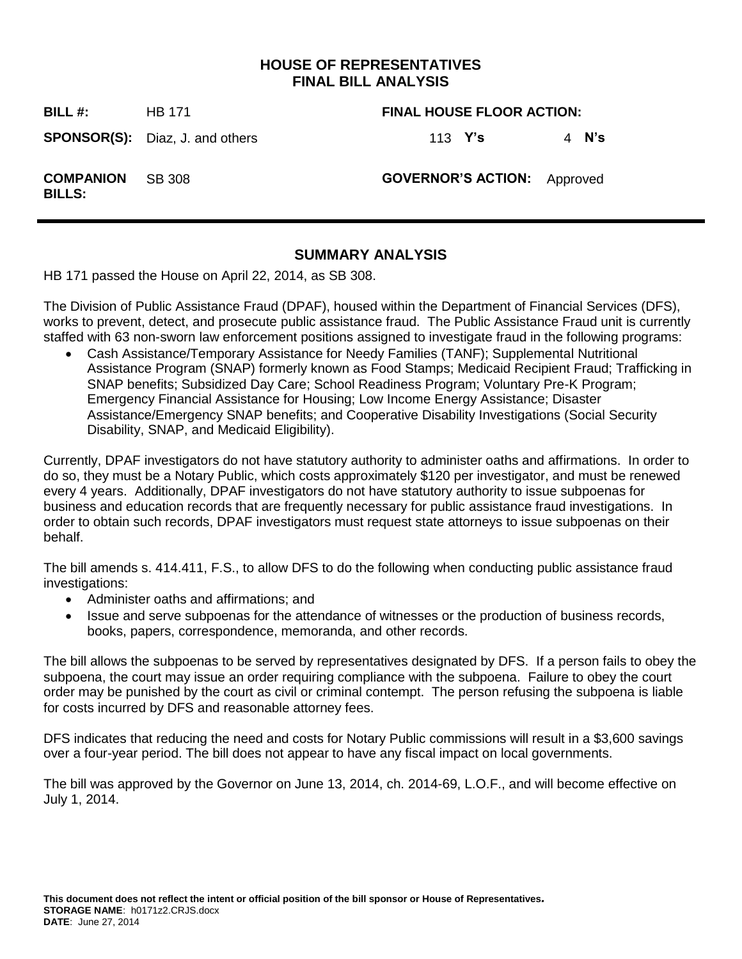### **HOUSE OF REPRESENTATIVES FINAL BILL ANALYSIS**

**BILL #:** HB 171 **FINAL HOUSE FLOOR ACTION:**

**SPONSOR(S):** Diaz, J. and others 113 **Y's** 4 **N's** 

SB 308 **GOVERNOR'S ACTION:** Approved

**COMPANION BILLS:**

### **SUMMARY ANALYSIS**

HB 171 passed the House on April 22, 2014, as SB 308.

The Division of Public Assistance Fraud (DPAF), housed within the Department of Financial Services (DFS), works to prevent, detect, and prosecute public assistance fraud. The Public Assistance Fraud unit is currently staffed with 63 non-sworn law enforcement positions assigned to investigate fraud in the following programs:

 Cash Assistance/Temporary Assistance for Needy Families (TANF); Supplemental Nutritional Assistance Program (SNAP) formerly known as Food Stamps; Medicaid Recipient Fraud; Trafficking in SNAP benefits; Subsidized Day Care; School Readiness Program; Voluntary Pre-K Program; Emergency Financial Assistance for Housing; Low Income Energy Assistance; Disaster Assistance/Emergency SNAP benefits; and Cooperative Disability Investigations (Social Security Disability, SNAP, and Medicaid Eligibility).

Currently, DPAF investigators do not have statutory authority to administer oaths and affirmations. In order to do so, they must be a Notary Public, which costs approximately \$120 per investigator, and must be renewed every 4 years. Additionally, DPAF investigators do not have statutory authority to issue subpoenas for business and education records that are frequently necessary for public assistance fraud investigations. In order to obtain such records, DPAF investigators must request state attorneys to issue subpoenas on their behalf.

The bill amends s. 414.411, F.S., to allow DFS to do the following when conducting public assistance fraud investigations:

- Administer oaths and affirmations; and
- Issue and serve subpoenas for the attendance of witnesses or the production of business records, books, papers, correspondence, memoranda, and other records.

The bill allows the subpoenas to be served by representatives designated by DFS. If a person fails to obey the subpoena, the court may issue an order requiring compliance with the subpoena. Failure to obey the court order may be punished by the court as civil or criminal contempt. The person refusing the subpoena is liable for costs incurred by DFS and reasonable attorney fees.

DFS indicates that reducing the need and costs for Notary Public commissions will result in a \$3,600 savings over a four-year period. The bill does not appear to have any fiscal impact on local governments.

The bill was approved by the Governor on June 13, 2014, ch. 2014-69, L.O.F., and will become effective on July 1, 2014.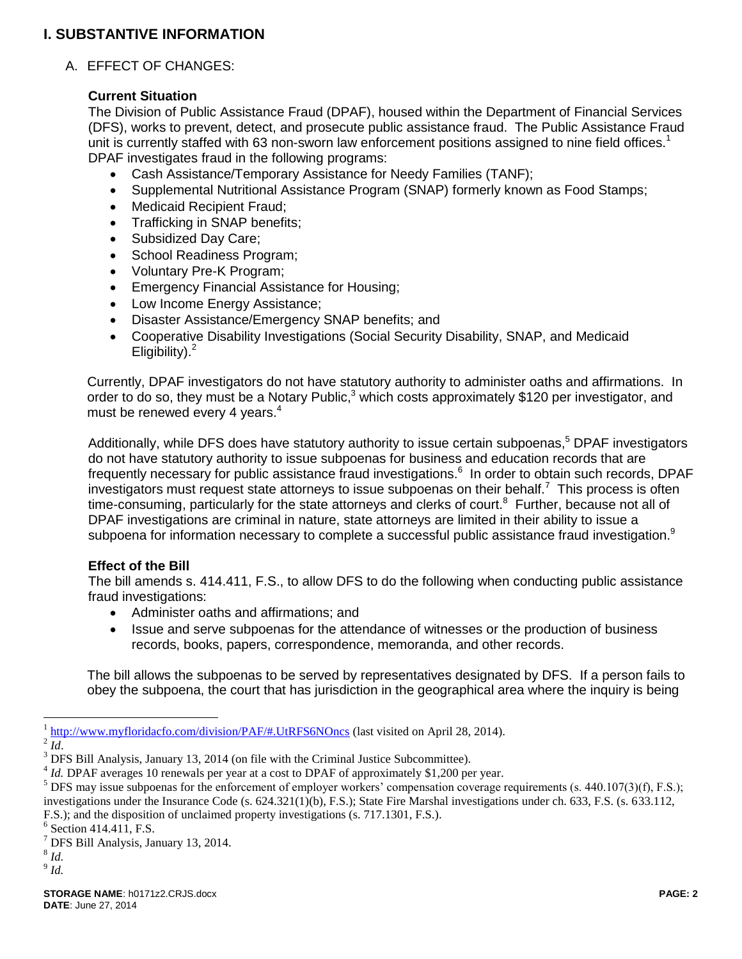# **I. SUBSTANTIVE INFORMATION**

### A. EFFECT OF CHANGES:

#### **Current Situation**

The Division of Public Assistance Fraud (DPAF), housed within the Department of Financial Services (DFS), works to prevent, detect, and prosecute public assistance fraud. The Public Assistance Fraud unit is currently staffed with 63 non-sworn law enforcement positions assigned to nine field offices.<sup>1</sup> DPAF investigates fraud in the following programs:

- Cash Assistance/Temporary Assistance for Needy Families (TANF);
- Supplemental Nutritional Assistance Program (SNAP) formerly known as Food Stamps;
- Medicaid Recipient Fraud;
- Trafficking in SNAP benefits;
- Subsidized Day Care;
- School Readiness Program;
- Voluntary Pre-K Program;
- Emergency Financial Assistance for Housing;
- Low Income Energy Assistance;
- Disaster Assistance/Emergency SNAP benefits; and
- Cooperative Disability Investigations (Social Security Disability, SNAP, and Medicaid Eligibility). $<sup>2</sup>$ </sup>

Currently, DPAF investigators do not have statutory authority to administer oaths and affirmations. In order to do so, they must be a Notary Public, $3$  which costs approximately \$120 per investigator, and must be renewed every 4 years.<sup>4</sup>

Additionally, while DFS does have statutory authority to issue certain subpoenas,<sup>5</sup> DPAF investigators do not have statutory authority to issue subpoenas for business and education records that are frequently necessary for public assistance fraud investigations.<sup>6</sup> In order to obtain such records, DPAF investigators must request state attorneys to issue subpoenas on their behalf.<sup>7</sup> This process is often time-consuming, particularly for the state attorneys and clerks of court.<sup>8</sup> Further, because not all of DPAF investigations are criminal in nature, state attorneys are limited in their ability to issue a subpoena for information necessary to complete a successful public assistance fraud investigation.<sup>9</sup>

#### **Effect of the Bill**

The bill amends s. 414.411, F.S., to allow DFS to do the following when conducting public assistance fraud investigations:

- Administer oaths and affirmations: and
- Issue and serve subpoenas for the attendance of witnesses or the production of business records, books, papers, correspondence, memoranda, and other records.

The bill allows the subpoenas to be served by representatives designated by DFS. If a person fails to obey the subpoena, the court that has jurisdiction in the geographical area where the inquiry is being

 $\overline{a}$ 

8 *Id.*

<sup>&</sup>lt;sup>1</sup> <http://www.myfloridacfo.com/division/PAF/#.UtRFS6NOncs> (last visited on April 28, 2014).

 $^{2}$ *Id*.

<sup>&</sup>lt;sup>3</sup> DFS Bill Analysis, January 13, 2014 (on file with the Criminal Justice Subcommittee).

<sup>&</sup>lt;sup>4</sup> *Id.* DPAF averages 10 renewals per year at a cost to DPAF of approximately \$1,200 per year.

 $5$  DFS may issue subpoenas for the enforcement of employer workers' compensation coverage requirements (s. 440.107(3)(f), F.S.); investigations under the Insurance Code (s. 624.321(1)(b), F.S.); State Fire Marshal investigations under ch. 633, F.S. (s. 633.112,

F.S.); and the disposition of unclaimed property investigations (s. 717.1301, F.S.).

<sup>&</sup>lt;sup>6</sup> Section 414.411, F.S.

<sup>7</sup> DFS Bill Analysis, January 13, 2014.

<sup>9</sup> *Id.*